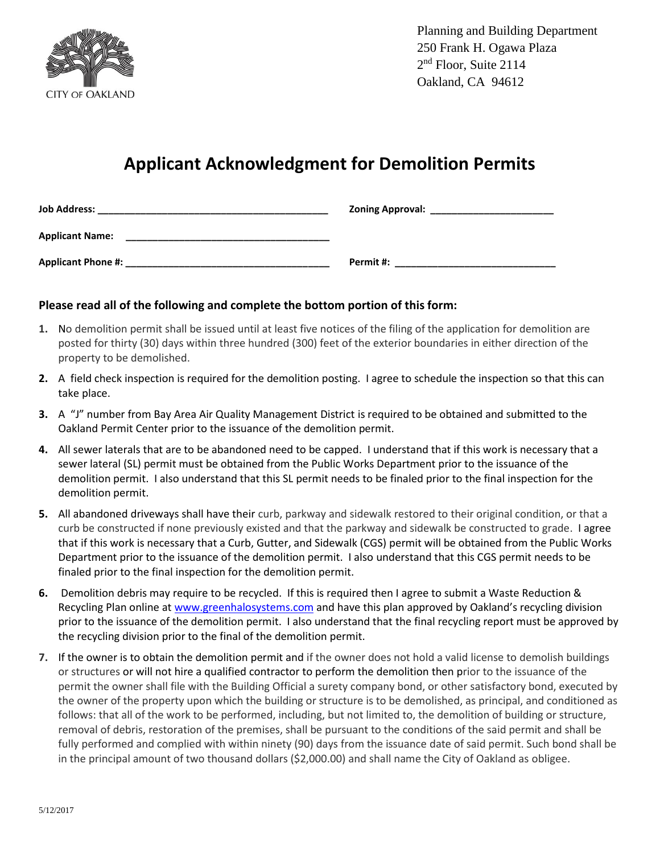

Planning and Building Department 250 Frank H. Ogawa Plaza 2<sup>nd</sup> Floor, Suite 2114 Oakland, CA 94612

## **Applicant Acknowledgment for Demolition Permits**

| <b>Job Address:</b>       | <b>Zoning Approval:</b> |
|---------------------------|-------------------------|
| <b>Applicant Name:</b>    |                         |
| <b>Applicant Phone #:</b> | Permit #:               |

## **Please read all of the following and complete the bottom portion of this form:**

- **1.** No demolition permit shall be issued until at least five notices of the filing of the application for demolition are posted for thirty (30) days within three hundred (300) feet of the exterior boundaries in either direction of the property to be demolished.
- **2.** A field check inspection is required for the demolition posting. I agree to schedule the inspection so that this can take place.
- **3.** A "J" number from Bay Area Air Quality Management District is required to be obtained and submitted to the Oakland Permit Center prior to the issuance of the demolition permit.
- **4.** All sewer laterals that are to be abandoned need to be capped. I understand that if this work is necessary that a sewer lateral (SL) permit must be obtained from the Public Works Department prior to the issuance of the demolition permit. I also understand that this SL permit needs to be finaled prior to the final inspection for the demolition permit.
- **5.** All abandoned driveways shall have their curb, parkway and sidewalk restored to their original condition, or that a curb be constructed if none previously existed and that the parkway and sidewalk be constructed to grade. I agree that if this work is necessary that a Curb, Gutter, and Sidewalk (CGS) permit will be obtained from the Public Works Department prior to the issuance of the demolition permit. I also understand that this CGS permit needs to be finaled prior to the final inspection for the demolition permit.
- **6.** Demolition debris may require to be recycled. If this is required then I agree to submit a Waste Reduction & Recycling Plan online at [www.greenhalosystems.com](http://www.greenhalosystems.com/) and have this plan approved by Oakland's recycling division prior to the issuance of the demolition permit. I also understand that the final recycling report must be approved by the recycling division prior to the final of the demolition permit.
- **7.** If the owner is to obtain the demolition permit and if the owner does not hold a valid license to demolish buildings or structures or will not hire a qualified contractor to perform the demolition then prior to the issuance of the permit the owner shall file with the Building Official a surety company bond, or other satisfactory bond, executed by the owner of the property upon which the building or structure is to be demolished, as principal, and conditioned as follows: that all of the work to be performed, including, but not limited to, the demolition of building or structure, removal of debris, restoration of the premises, shall be pursuant to the conditions of the said permit and shall be fully performed and complied with within ninety (90) days from the issuance date of said permit. Such bond shall be in the principal amount of two thousand dollars (\$2,000.00) and shall name the City of Oakland as obligee.